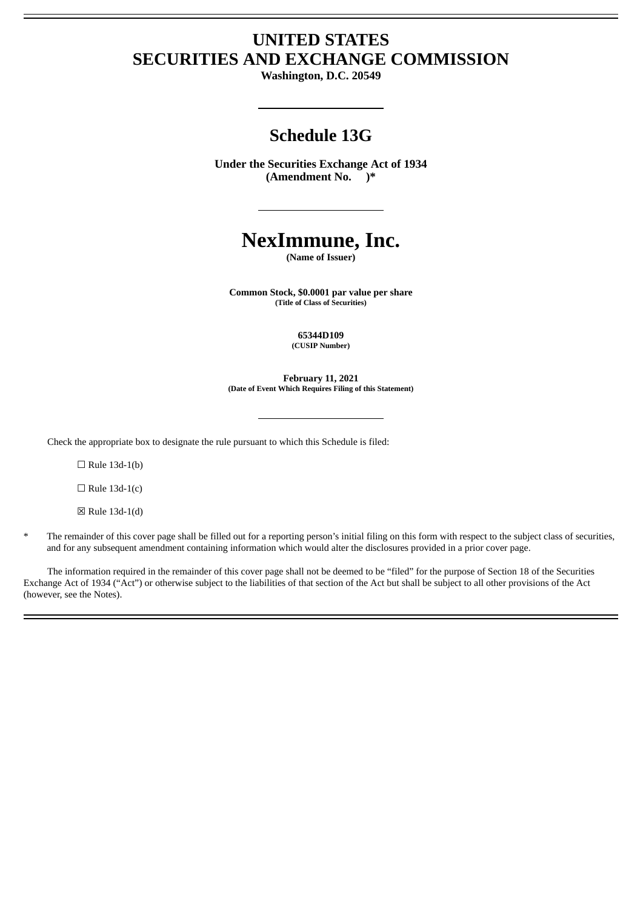## **UNITED STATES SECURITIES AND EXCHANGE COMMISSION**

**Washington, D.C. 20549**

## **Schedule 13G**

**Under the Securities Exchange Act of 1934 (Amendment No. )\***

# **NexImmune, Inc.**

**(Name of Issuer)**

**Common Stock, \$0.0001 par value per share (Title of Class of Securities)**

> **65344D109 (CUSIP Number)**

**February 11, 2021 (Date of Event Which Requires Filing of this Statement)**

Check the appropriate box to designate the rule pursuant to which this Schedule is filed:

 $\Box$  Rule 13d-1(b)

 $\Box$  Rule 13d-1(c)

☒ Rule 13d-1(d)

The remainder of this cover page shall be filled out for a reporting person's initial filing on this form with respect to the subject class of securities, and for any subsequent amendment containing information which would alter the disclosures provided in a prior cover page.

The information required in the remainder of this cover page shall not be deemed to be "filed" for the purpose of Section 18 of the Securities Exchange Act of 1934 ("Act") or otherwise subject to the liabilities of that section of the Act but shall be subject to all other provisions of the Act (however, see the Notes).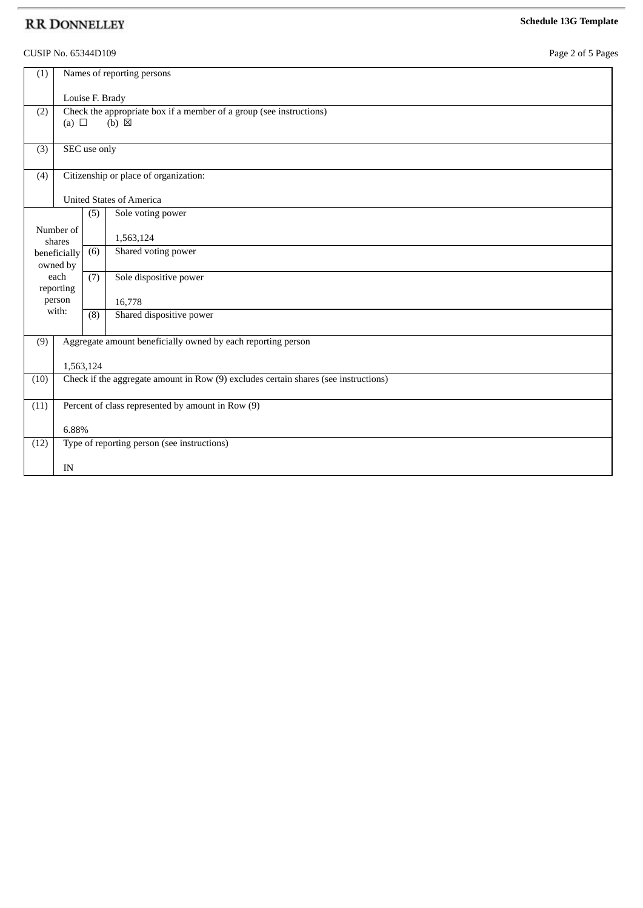#### CUSIP No. 65344D109 Page 2 of 5 Pages

|  |  | Page 2 of 5 Pages |
|--|--|-------------------|
|--|--|-------------------|

| (1)  | Names of reporting persons                                                          |     |                          |  |  |
|------|-------------------------------------------------------------------------------------|-----|--------------------------|--|--|
|      | Louise F. Brady                                                                     |     |                          |  |  |
| (2)  | Check the appropriate box if a member of a group (see instructions)                 |     |                          |  |  |
|      | $(b) \boxtimes$<br>(a) $\Box$                                                       |     |                          |  |  |
| (3)  | SEC use only                                                                        |     |                          |  |  |
| (4)  | Citizenship or place of organization:                                               |     |                          |  |  |
|      | <b>United States of America</b>                                                     |     |                          |  |  |
|      |                                                                                     | (5) | Sole voting power        |  |  |
|      | Number of<br>shares                                                                 |     | 1,563,124                |  |  |
|      | beneficially<br>owned by                                                            | (6) | Shared voting power      |  |  |
|      | each                                                                                | (7) | Sole dispositive power   |  |  |
|      | reporting<br>person                                                                 |     | 16,778                   |  |  |
|      | with:<br>(8)                                                                        |     | Shared dispositive power |  |  |
|      |                                                                                     |     |                          |  |  |
| (9)  | Aggregate amount beneficially owned by each reporting person                        |     |                          |  |  |
|      | 1,563,124                                                                           |     |                          |  |  |
| (10) | Check if the aggregate amount in Row (9) excludes certain shares (see instructions) |     |                          |  |  |
| (11) | Percent of class represented by amount in Row (9)                                   |     |                          |  |  |
|      |                                                                                     |     |                          |  |  |
|      | 6.88%                                                                               |     |                          |  |  |
| (12) | Type of reporting person (see instructions)                                         |     |                          |  |  |
|      | IN                                                                                  |     |                          |  |  |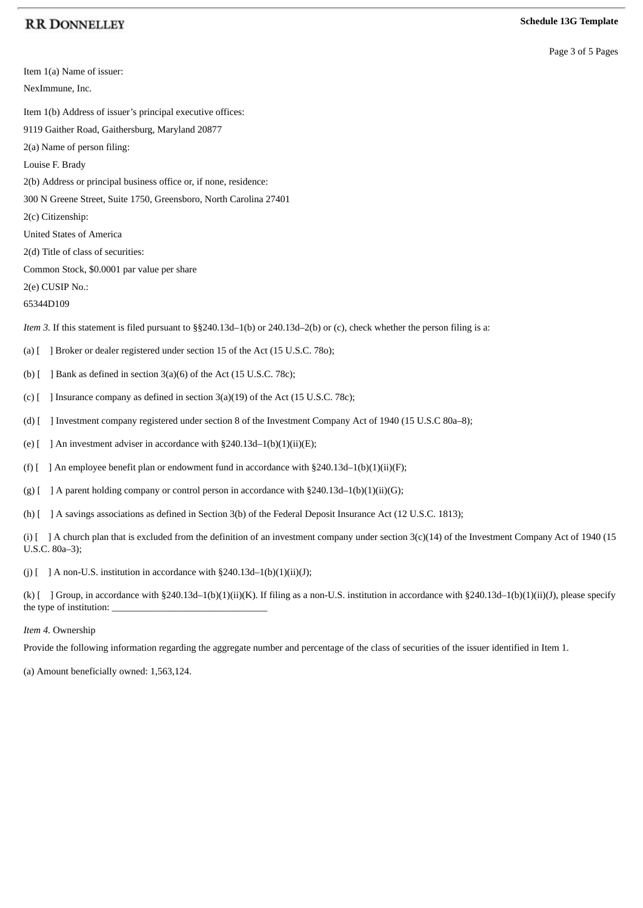#### **Schedule 13G Template**

Page 3 of 5 Pages

Item 1(a) Name of issuer: NexImmune, Inc. Item 1(b) Address of issuer's principal executive offices: 9119 Gaither Road, Gaithersburg, Maryland 20877 2(a) Name of person filing: Louise F. Brady 2(b) Address or principal business office or, if none, residence: 300 N Greene Street, Suite 1750, Greensboro, North Carolina 27401 2(c) Citizenship: United States of America 2(d) Title of class of securities: Common Stock, \$0.0001 par value per share 2(e) CUSIP No.: 65344D109 *Item 3.* If this statement is filed pursuant to §§240.13d–1(b) or 240.13d–2(b) or (c), check whether the person filing is a: (a) [ ] Broker or dealer registered under section 15 of the Act (15 U.S.C. 78o); (b)  $[$  ] Bank as defined in section 3(a)(6) of the Act (15 U.S.C. 78c); (c) [ ] Insurance company as defined in section 3(a)(19) of the Act (15 U.S.C. 78c); (d) [ ] Investment company registered under section 8 of the Investment Company Act of 1940 (15 U.S.C 80a–8); (e)  $\lceil$  ] An investment adviser in accordance with §240.13d-1(b)(1)(ii)(E); (f)  $\left[ \right]$  An employee benefit plan or endowment fund in accordance with §240.13d–1(b)(1)(ii)(F); (g)  $\left[ \begin{array}{c} | \\ | \end{array} \right]$  A parent holding company or control person in accordance with §240.13d–1(b)(1)(ii)(G); (h) [ ] A savings associations as defined in Section 3(b) of the Federal Deposit Insurance Act (12 U.S.C. 1813); (i)  $\lceil$  ] A church plan that is excluded from the definition of an investment company under section 3(c)(14) of the Investment Company Act of 1940 (15 U.S.C. 80a–3); (j)  $[$  ] A non-U.S. institution in accordance with §240.13d-1(b)(1)(ii)(J);

(k)  $[$  ] Group, in accordance with §240.13d-1(b)(1)(ii)(K). If filing as a non-U.S. institution in accordance with §240.13d-1(b)(1)(ii)(J), please specify the type of institution:

#### *Item 4.* Ownership

Provide the following information regarding the aggregate number and percentage of the class of securities of the issuer identified in Item 1.

(a) Amount beneficially owned: 1,563,124.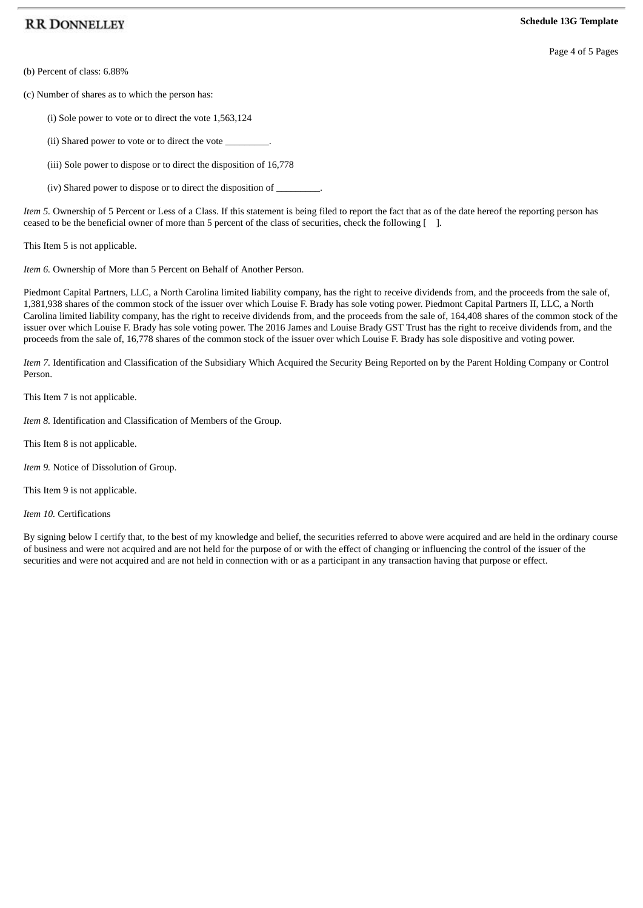Page 4 of 5 Pages

(b) Percent of class: 6.88%

(c) Number of shares as to which the person has:

(i) Sole power to vote or to direct the vote 1,563,124

(ii) Shared power to vote or to direct the vote  $\_$ 

(iii) Sole power to dispose or to direct the disposition of 16,778

(iv) Shared power to dispose or to direct the disposition of \_

*Item 5.* Ownership of 5 Percent or Less of a Class. If this statement is being filed to report the fact that as of the date hereof the reporting person has ceased to be the beneficial owner of more than 5 percent of the class of securities, check the following [ ].

This Item 5 is not applicable.

*Item 6.* Ownership of More than 5 Percent on Behalf of Another Person.

Piedmont Capital Partners, LLC, a North Carolina limited liability company, has the right to receive dividends from, and the proceeds from the sale of, 1,381,938 shares of the common stock of the issuer over which Louise F. Brady has sole voting power. Piedmont Capital Partners II, LLC, a North Carolina limited liability company, has the right to receive dividends from, and the proceeds from the sale of, 164,408 shares of the common stock of the issuer over which Louise F. Brady has sole voting power. The 2016 James and Louise Brady GST Trust has the right to receive dividends from, and the proceeds from the sale of, 16,778 shares of the common stock of the issuer over which Louise F. Brady has sole dispositive and voting power.

*Item 7.* Identification and Classification of the Subsidiary Which Acquired the Security Being Reported on by the Parent Holding Company or Control Person.

This Item 7 is not applicable.

*Item 8.* Identification and Classification of Members of the Group.

This Item 8 is not applicable.

*Item 9.* Notice of Dissolution of Group.

This Item 9 is not applicable.

*Item 10.* Certifications

By signing below I certify that, to the best of my knowledge and belief, the securities referred to above were acquired and are held in the ordinary course of business and were not acquired and are not held for the purpose of or with the effect of changing or influencing the control of the issuer of the securities and were not acquired and are not held in connection with or as a participant in any transaction having that purpose or effect.